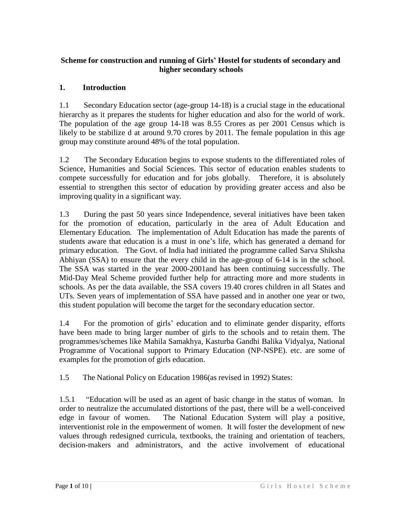#### **Scheme for construction and running of Girls' Hostel for students of secondary and higher secondary schools**

#### **1. Introduction**

1.1 Secondary Education sector (age-group 14-18) is a crucial stage in the educational hierarchy as it prepares the students for higher education and also for the world of work. The population of the age group 14-18 was 8.55 Crores as per 2001 Census which is likely to be stabilize d at around 9.70 crores by 2011. The female population in this age group may constitute around 48% of the total population.

1.2 The Secondary Education begins to expose students to the differentiated roles of Science, Humanities and Social Sciences. This sector of education enables students to compete successfully for education and for jobs globally. Therefore, it is absolutely essential to strengthen this sector of education by providing greater access and also be improving quality in a significant way.

1.3 During the past 50 years since Independence, several initiatives have been taken for the promotion of education, particularly in the area of Adult Education and Elementary Education. The implementation of Adult Education has made the parents of students aware that education is a must in one's life, which has generated a demand for primary education. The Govt. of India had initiated the programme called Sarva Shiksha Abhiyan (SSA) to ensure that the every child in the age-group of 6-14 is in the school. The SSA was started in the year 2000-2001and has been continuing successfully. The Mid-Day Meal Scheme provided further help for attracting more and more students in schools. As per the data available, the SSA covers 19.40 crores children in all States and UTs. Seven years of implementation of SSA have passed and in another one year or two, this student population will become the target for the secondary education sector.

1.4 For the promotion of girls' education and to eliminate gender disparity, efforts have been made to bring larger number of girls to the schools and to retain them. The programmes/schemes like Mahila Samakhya, Kasturba Gandhi Balika Vidyalya, National Programme of Vocational support to Primary Education (NP-NSPE). etc. are some of examples for the promotion of girls education.

1.5 The National Policy on Education 1986(as revised in 1992) States:

1.5.1 "Education will be used as an agent of basic change in the status of woman. In order to neutralize the accumulated distortions of the past, there will be a well-conceived edge in favour of women. The National Education System will play a positive, interventionist role in the empowerment of women. It will foster the development of new values through redesigned curricula, textbooks, the training and orientation of teachers, decision-makers and administrators, and the active involvement of educational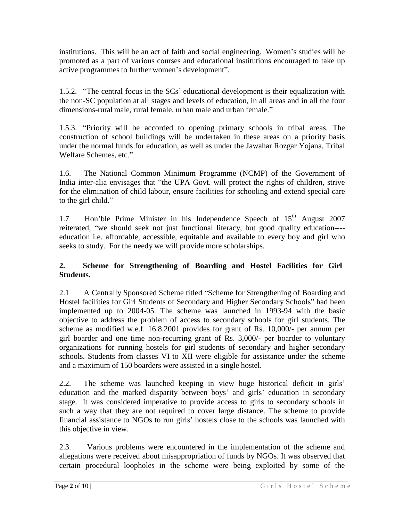institutions. This will be an act of faith and social engineering. Women's studies will be promoted as a part of various courses and educational institutions encouraged to take up active programmes to further women's development".

1.5.2. "The central focus in the SCs' educational development is their equalization with the non-SC population at all stages and levels of education, in all areas and in all the four dimensions-rural male, rural female, urban male and urban female."

1.5.3. "Priority will be accorded to opening primary schools in tribal areas. The construction of school buildings will be undertaken in these areas on a priority basis under the normal funds for education, as well as under the Jawahar Rozgar Yojana, Tribal Welfare Schemes, etc."

1.6. The National Common Minimum Programme (NCMP) of the Government of India inter-alia envisages that "the UPA Govt. will protect the rights of children, strive for the elimination of child labour, ensure facilities for schooling and extend special care to the girl child."

1.7 Hon'ble Prime Minister in his Independence Speech of  $15<sup>th</sup>$  August 2007 reiterated, "we should seek not just functional literacy, but good quality education--- education i.e. affordable, accessible, equitable and available to every boy and girl who seeks to study. For the needy we will provide more scholarships.

## **2. Scheme for Strengthening of Boarding and Hostel Facilities for Girl Students.**

2.1 A Centrally Sponsored Scheme titled "Scheme for Strengthening of Boarding and Hostel facilities for Girl Students of Secondary and Higher Secondary Schools" had been implemented up to 2004-05. The scheme was launched in 1993-94 with the basic objective to address the problem of access to secondary schools for girl students. The scheme as modified w.e.f. 16.8.2001 provides for grant of Rs. 10,000/- per annum per girl boarder and one time non-recurring grant of Rs. 3,000/- per boarder to voluntary organizations for running hostels for girl students of secondary and higher secondary schools. Students from classes VI to XII were eligible for assistance under the scheme and a maximum of 150 boarders were assisted in a single hostel.

2.2. The scheme was launched keeping in view huge historical deficit in girls' education and the marked disparity between boys' and girls' education in secondary stage. It was considered imperative to provide access to girls to secondary schools in such a way that they are not required to cover large distance. The scheme to provide financial assistance to NGOs to run girls' hostels close to the schools was launched with this objective in view.

2.3. Various problems were encountered in the implementation of the scheme and allegations were received about misappropriation of funds by NGOs. It was observed that certain procedural loopholes in the scheme were being exploited by some of the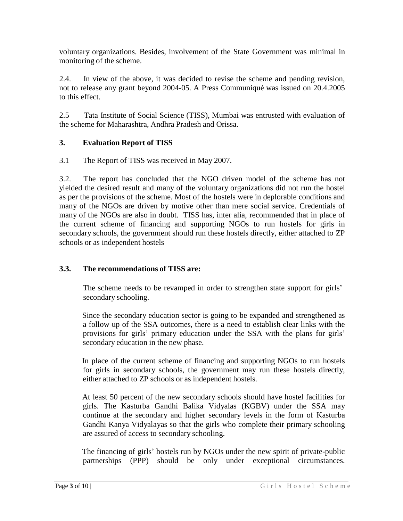voluntary organizations. Besides, involvement of the State Government was minimal in monitoring of the scheme.

2.4. In view of the above, it was decided to revise the scheme and pending revision, not to release any grant beyond 2004-05. A Press Communiqué was issued on 20.4.2005 to this effect.

2.5 Tata Institute of Social Science (TISS), Mumbai was entrusted with evaluation of the scheme for Maharashtra, Andhra Pradesh and Orissa.

## **3. Evaluation Report of TISS**

3.1 The Report of TISS was received in May 2007.

3.2. The report has concluded that the NGO driven model of the scheme has not yielded the desired result and many of the voluntary organizations did not run the hostel as per the provisions of the scheme. Most of the hostels were in deplorable conditions and many of the NGOs are driven by motive other than mere social service. Credentials of many of the NGOs are also in doubt. TISS has, inter alia, recommended that in place of the current scheme of financing and supporting NGOs to run hostels for girls in secondary schools, the government should run these hostels directly, either attached to ZP schools or as independent hostels

#### **3.3. The recommendations of TISS are:**

 The scheme needs to be revamped in order to strengthen state support for girls' secondary schooling.

Since the secondary education sector is going to be expanded and strengthened as a follow up of the SSA outcomes, there is a need to establish clear links with the provisions for girls' primary education under the SSA with the plans for girls' secondary education in the new phase.

In place of the current scheme of financing and supporting NGOs to run hostels for girls in secondary schools, the government may run these hostels directly, either attached to ZP schools or as independent hostels.

At least 50 percent of the new secondary schools should have hostel facilities for girls. The Kasturba Gandhi Balika Vidyalas (KGBV) under the SSA may continue at the secondary and higher secondary levels in the form of Kasturba Gandhi Kanya Vidyalayas so that the girls who complete their primary schooling are assured of access to secondary schooling.

The financing of girls' hostels run by NGOs under the new spirit of private-public partnerships (PPP) should be only under exceptional circumstances.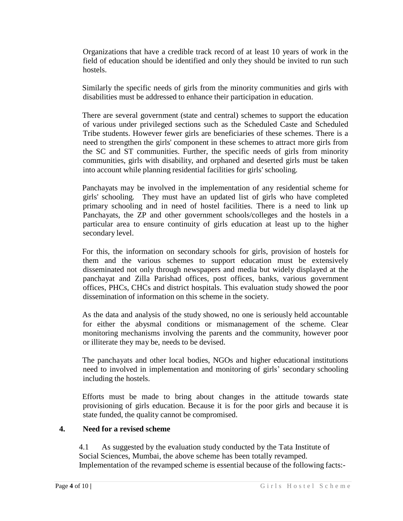Organizations that have a credible track record of at least 10 years of work in the field of education should be identified and only they should be invited to run such hostels.

Similarly the specific needs of girls from the minority communities and girls with disabilities must be addressed to enhance their participation in education.

There are several government (state and central) schemes to support the education of various under privileged sections such as the Scheduled Caste and Scheduled Tribe students. However fewer girls are beneficiaries of these schemes. There is a need to strengthen the girls' component in these schemes to attract more girls from the SC and ST communities. Further, the specific needs of girls from minority communities, girls with disability, and orphaned and deserted girls must be taken into account while planning residential facilities for girls' schooling.

Panchayats may be involved in the implementation of any residential scheme for girls' schooling. They must have an updated list of girls who have completed primary schooling and in need of hostel facilities. There is a need to link up Panchayats, the ZP and other government schools/colleges and the hostels in a particular area to ensure continuity of girls education at least up to the higher secondary level.

For this, the information on secondary schools for girls, provision of hostels for them and the various schemes to support education must be extensively disseminated not only through newspapers and media but widely displayed at the panchayat and Zilla Parishad offices, post offices, banks, various government offices, PHCs, CHCs and district hospitals. This evaluation study showed the poor dissemination of information on this scheme in the society.

As the data and analysis of the study showed, no one is seriously held accountable for either the abysmal conditions or mismanagement of the scheme. Clear monitoring mechanisms involving the parents and the community, however poor or illiterate they may be, needs to be devised.

The panchayats and other local bodies, NGOs and higher educational institutions need to involved in implementation and monitoring of girls' secondary schooling including the hostels.

Efforts must be made to bring about changes in the attitude towards state provisioning of girls education. Because it is for the poor girls and because it is state funded, the quality cannot be compromised.

#### **4. Need for a revised scheme**

4.1 As suggested by the evaluation study conducted by the Tata Institute of Social Sciences, Mumbai, the above scheme has been totally revamped. Implementation of the revamped scheme is essential because of the following facts:-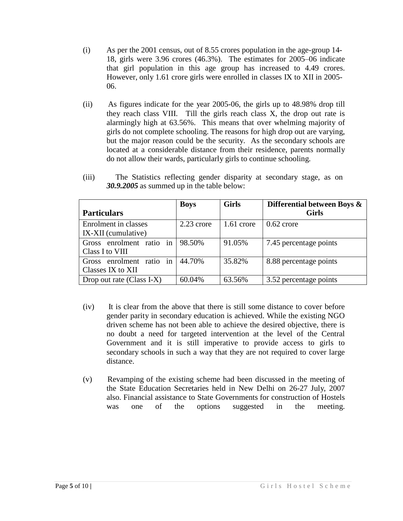- (i) As per the 2001 census, out of 8.55 crores population in the age-group 14- 18, girls were 3.96 crores (46.3%). The estimates for 2005–06 indicate that girl population in this age group has increased to 4.49 crores. However, only 1.61 crore girls were enrolled in classes IX to XII in 2005- 06.
- (ii) As figures indicate for the year 2005-06, the girls up to 48.98% drop till they reach class VIII. Till the girls reach class X, the drop out rate is alarmingly high at 63.56%. This means that over whelming majority of girls do not complete schooling. The reasons for high drop out are varying, but the major reason could be the security. As the secondary schools are located at a considerable distance from their residence, parents normally do not allow their wards, particularly girls to continue schooling.

|                           | <b>Boys</b>  | <b>Girls</b> | Differential between Boys & |
|---------------------------|--------------|--------------|-----------------------------|
| <b>Particulars</b>        |              |              | <b>Girls</b>                |
| Enrolment in classes      | $2.23$ crore | $1.61$ crore | $0.62$ crore                |
| IX-XII (cumulative)       |              |              |                             |
| Gross enrolment ratio in  | 98.50%       | 91.05%       | 7.45 percentage points      |
| Class I to VIII           |              |              |                             |
| Gross enrolment ratio in  | 44.70%       | 35.82%       | 8.88 percentage points      |
| Classes IX to XII         |              |              |                             |
| Drop out rate (Class I-X) | 60.04%       | 63.56%       | 3.52 percentage points      |

(iii) The Statistics reflecting gender disparity at secondary stage, as on *30.9.2005* as summed up in the table below:

- (iv) It is clear from the above that there is still some distance to cover before gender parity in secondary education is achieved. While the existing NGO driven scheme has not been able to achieve the desired objective, there is no doubt a need for targeted intervention at the level of the Central Government and it is still imperative to provide access to girls to secondary schools in such a way that they are not required to cover large distance.
- (v) Revamping of the existing scheme had been discussed in the meeting of the State Education Secretaries held in New Delhi on 26-27 July, 2007 also. Financial assistance to State Governments for construction of Hostels was one of the options suggested in the meeting.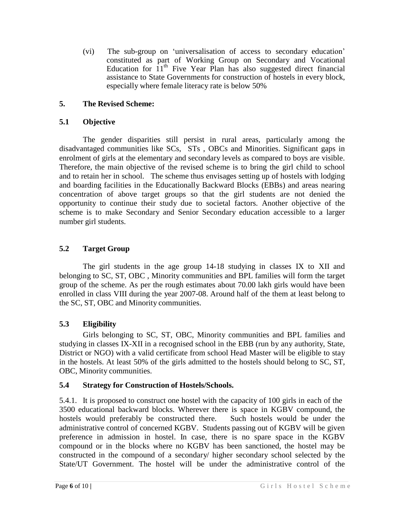(vi) The sub-group on 'universalisation of access to secondary education' constituted as part of Working Group on Secondary and Vocational Education for  $11<sup>th</sup>$  Five Year Plan has also suggested direct financial assistance to State Governments for construction of hostels in every block, especially where female literacy rate is below 50%

# **5. The Revised Scheme:**

#### **5.1 Objective**

The gender disparities still persist in rural areas, particularly among the disadvantaged communities like SCs, STs , OBCs and Minorities. Significant gaps in enrolment of girls at the elementary and secondary levels as compared to boys are visible. Therefore, the main objective of the revised scheme is to bring the girl child to school and to retain her in school. The scheme thus envisages setting up of hostels with lodging and boarding facilities in the Educationally Backward Blocks (EBBs) and areas nearing concentration of above target groups so that the girl students are not denied the opportunity to continue their study due to societal factors. Another objective of the scheme is to make Secondary and Senior Secondary education accessible to a larger number girl students.

## **5.2 Target Group**

The girl students in the age group 14-18 studying in classes IX to XII and belonging to SC, ST, OBC , Minority communities and BPL families will form the target group of the scheme. As per the rough estimates about 70.00 lakh girls would have been enrolled in class VIII during the year 2007-08. Around half of the them at least belong to the SC, ST, OBC and Minority communities.

## **5.3 Eligibility**

Girls belonging to SC, ST, OBC, Minority communities and BPL families and studying in classes IX-XII in a recognised school in the EBB (run by any authority, State, District or NGO) with a valid certificate from school Head Master will be eligible to stay in the hostels. At least 50% of the girls admitted to the hostels should belong to SC, ST, OBC, Minority communities.

## **5.4 Strategy for Construction of Hostels/Schools.**

5.4.1. It is proposed to construct one hostel with the capacity of 100 girls in each of the 3500 educational backward blocks. Wherever there is space in KGBV compound, the hostels would preferably be constructed there. Such hostels would be under the administrative control of concerned KGBV. Students passing out of KGBV will be given preference in admission in hostel. In case, there is no spare space in the KGBV compound or in the blocks where no KGBV has been sanctioned, the hostel may be constructed in the compound of a secondary/ higher secondary school selected by the State/UT Government. The hostel will be under the administrative control of the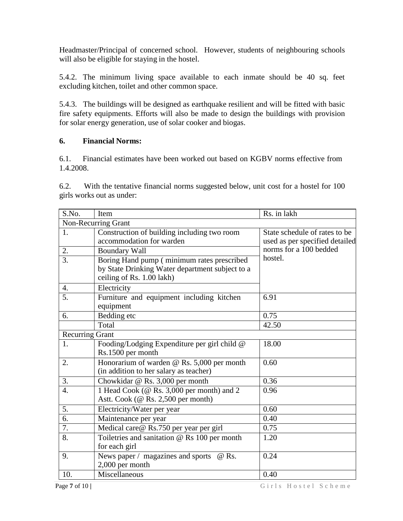Headmaster/Principal of concerned school. However, students of neighbouring schools will also be eligible for staying in the hostel.

5.4.2. The minimum living space available to each inmate should be 40 sq. feet excluding kitchen, toilet and other common space.

5.4.3. The buildings will be designed as earthquake resilient and will be fitted with basic fire safety equipments. Efforts will also be made to design the buildings with provision for solar energy generation, use of solar cooker and biogas.

#### **6. Financial Norms:**

6.1. Financial estimates have been worked out based on KGBV norms effective from 1.4.2008.

6.2. With the tentative financial norms suggested below, unit cost for a hostel for 100 girls works out as under:

| S.No.                  | Item                                                                                                                       | Rs. in lakh                                                     |  |  |
|------------------------|----------------------------------------------------------------------------------------------------------------------------|-----------------------------------------------------------------|--|--|
| Non-Recurring Grant    |                                                                                                                            |                                                                 |  |  |
| 1.                     | Construction of building including two room<br>accommodation for warden                                                    | State schedule of rates to be<br>used as per specified detailed |  |  |
| 2.                     | <b>Boundary Wall</b>                                                                                                       | norms for a 100 bedded                                          |  |  |
| $\overline{3}$ .       | Boring Hand pump (minimum rates prescribed<br>by State Drinking Water department subject to a<br>ceiling of Rs. 1.00 lakh) | hostel.                                                         |  |  |
| $\overline{4}$ .       | Electricity                                                                                                                |                                                                 |  |  |
| 5.                     | Furniture and equipment including kitchen<br>equipment                                                                     | 6.91                                                            |  |  |
| 6.                     | Bedding etc                                                                                                                | 0.75                                                            |  |  |
|                        | Total                                                                                                                      | 42.50                                                           |  |  |
| <b>Recurring Grant</b> |                                                                                                                            |                                                                 |  |  |
| 1.                     | Fooding/Lodging Expenditure per girl child @<br>Rs.1500 per month                                                          | 18.00                                                           |  |  |
| 2.                     | Honorarium of warden @ Rs. 5,000 per month<br>(in addition to her salary as teacher)                                       | 0.60                                                            |  |  |
| 3.                     | Chowkidar @ Rs. 3,000 per month                                                                                            | 0.36                                                            |  |  |
| $\overline{4}$ .       | 1 Head Cook (@ Rs. 3,000 per month) and 2<br>Astt. Cook (@ Rs. 2,500 per month)                                            | 0.96                                                            |  |  |
| 5.                     | Electricity/Water per year                                                                                                 | 0.60                                                            |  |  |
| 6.                     | Maintenance per year                                                                                                       | 0.40                                                            |  |  |
| 7.                     | Medical care@ Rs.750 per year per girl                                                                                     | 0.75                                                            |  |  |
| 8.                     | Toiletries and sanitation @ Rs 100 per month<br>for each girl                                                              | 1.20                                                            |  |  |
| 9.                     | News paper / magazines and sports<br>@ Rs.<br>2,000 per month                                                              | 0.24                                                            |  |  |
| 10.                    | Miscellaneous                                                                                                              | 0.40                                                            |  |  |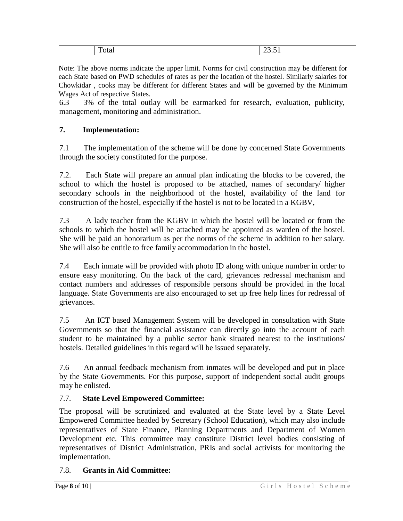| ∽<br>¬.<br>$\overline{2}$<br>uur |  |  |
|----------------------------------|--|--|
|                                  |  |  |

Note: The above norms indicate the upper limit. Norms for civil construction may be different for each State based on PWD schedules of rates as per the location of the hostel. Similarly salaries for Chowkidar , cooks may be different for different States and will be governed by the Minimum Wages Act of respective States.

6.3 3% of the total outlay will be earmarked for research, evaluation, publicity, management, monitoring and administration.

## **7. Implementation:**

7.1 The implementation of the scheme will be done by concerned State Governments through the society constituted for the purpose.

7.2. Each State will prepare an annual plan indicating the blocks to be covered, the school to which the hostel is proposed to be attached, names of secondary/ higher secondary schools in the neighborhood of the hostel, availability of the land for construction of the hostel, especially if the hostel is not to be located in a KGBV,

7.3 A lady teacher from the KGBV in which the hostel will be located or from the schools to which the hostel will be attached may be appointed as warden of the hostel. She will be paid an honorarium as per the norms of the scheme in addition to her salary. She will also be entitle to free family accommodation in the hostel.

7.4 Each inmate will be provided with photo ID along with unique number in order to ensure easy monitoring. On the back of the card, grievances redressal mechanism and contact numbers and addresses of responsible persons should be provided in the local language. State Governments are also encouraged to set up free help lines for redressal of grievances.

7.5 An ICT based Management System will be developed in consultation with State Governments so that the financial assistance can directly go into the account of each student to be maintained by a public sector bank situated nearest to the institutions/ hostels. Detailed guidelines in this regard will be issued separately.

7.6 An annual feedback mechanism from inmates will be developed and put in place by the State Governments. For this purpose, support of independent social audit groups may be enlisted.

#### 7.7. **State Level Empowered Committee:**

The proposal will be scrutinized and evaluated at the State level by a State Level Empowered Committee headed by Secretary (School Education), which may also include representatives of State Finance, Planning Departments and Department of Women Development etc. This committee may constitute District level bodies consisting of representatives of District Administration, PRIs and social activists for monitoring the implementation.

## 7.8. **Grants in Aid Committee:**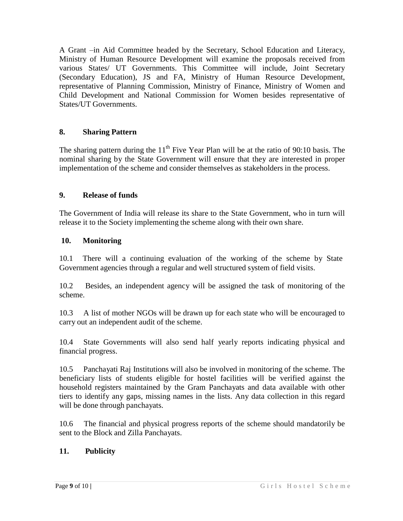A Grant –in Aid Committee headed by the Secretary, School Education and Literacy, Ministry of Human Resource Development will examine the proposals received from various States/ UT Governments. This Committee will include, Joint Secretary (Secondary Education), JS and FA, Ministry of Human Resource Development, representative of Planning Commission, Ministry of Finance, Ministry of Women and Child Development and National Commission for Women besides representative of States/UT Governments.

## **8. Sharing Pattern**

The sharing pattern during the  $11<sup>th</sup>$  Five Year Plan will be at the ratio of 90:10 basis. The nominal sharing by the State Government will ensure that they are interested in proper implementation of the scheme and consider themselves as stakeholders in the process.

#### **9. Release of funds**

The Government of India will release its share to the State Government, who in turn will release it to the Society implementing the scheme along with their own share.

#### **10. Monitoring**

10.1 There will a continuing evaluation of the working of the scheme by State Government agencies through a regular and well structured system of field visits.

10.2 Besides, an independent agency will be assigned the task of monitoring of the scheme.

10.3 A list of mother NGOs will be drawn up for each state who will be encouraged to carry out an independent audit of the scheme.

10.4 State Governments will also send half yearly reports indicating physical and financial progress.

10.5 Panchayati Raj Institutions will also be involved in monitoring of the scheme. The beneficiary lists of students eligible for hostel facilities will be verified against the household registers maintained by the Gram Panchayats and data available with other tiers to identify any gaps, missing names in the lists. Any data collection in this regard will be done through panchayats.

10.6 The financial and physical progress reports of the scheme should mandatorily be sent to the Block and Zilla Panchayats.

## **11. Publicity**